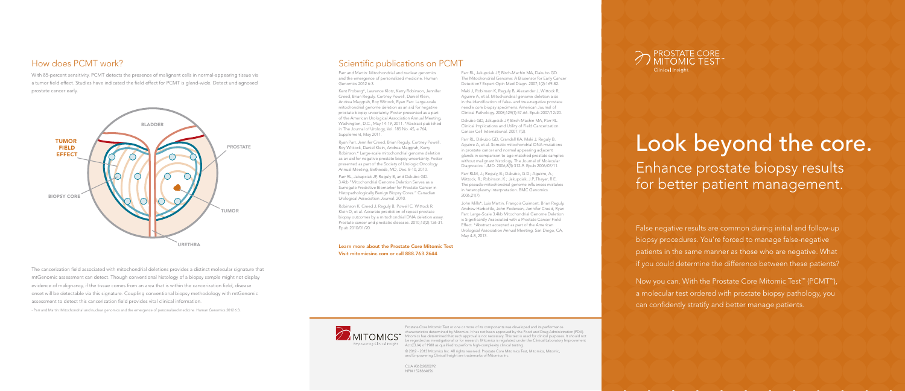False negative results are common during initial and follow-up biopsy procedures. You're forced to manage false-negative patients in the same manner as those who are negative. What if you could determine the difference between these patients?

Prostate Core Mitomic Test or one or more of its components was developed and its performance characteristics determined by Mitomics. It has not been approved by the Food and Drug Administration (FDA). Mitomics has determined that such approval is not necessary. This test is used for clinical purposes. It should not be regarded as investigational or for research. Mitomics is regulated under the Clinical Laboratory Improvement npowering Clinical Insight Act (CLIA) of 1988 as qualified to perform high-complexity clinical testing.

Now you can. With the Prostate Core Mitomic Test™ (PCMT™), a molecular test ordered with prostate biopsy pathology, you can confidently stratify and better manage patients.

# Look beyond the core. Enhance prostate biopsy results for better patient management.

© 2012 - 2013 Mitomics Inc. All rights reserved. Prostate Core Mitomics Test, Mitomics, Mitomic, and Empowering Clinical Insight are trademarks of Mitomics Inc.

# Clinical Insight

CLIA #06D2020292 NPI# 1528364056

### How does PCMT work?

With 85-percent sensitivity, PCMT detects the presence of malignant cells in normal-appearing tissue via a tumor field effect. Studies have indicated the field effect for PCMT is gland-wide. Detect undiagnosed prostate cancer early.

#### Scientific publications on PCMT

Parr and Martin: Mitochondrial and nuclear genomics and the emergence of personalized medicine. Human Genomics 2012 6:3.

Kent Froberg\*, Laurence Klotz, Kerry Robinson, Jennifer Creed, Brian Reguly, Cortney Powell, Daniel Klein, Andrea Maggrah, Roy Wittock, Ryan Parr. Large-scale mitochondrial genome deletion as an aid for negative prostate biopsy uncertainty. Poster presented as a part of the American Urological Association Annual Meeting, Washington, D.C., May 14-19, 2011. \*Abstract published in The Journal of Urology, Vol. 185 No. 4S, e 764, Supplement, May 2011.

Ryan Parr, Jennifer Creed, Brian Reguly, Cortney Powell, Roy Wittock, Daniel Klein, Andrea Maggrah, Kerry Robinson.\* Large-scale mitochondrial genome deletion as an aid for negative prostate biopsy uncertainty. Poster presented as part of the Society of Urologic Oncology Annual Meeting, Bethesda, MD, Dec. 8-10, 2010.

Parr RL, Jakupciak JP, Reguly B, and Dakubo GD. 3.4kb "Mitochondrial Genome Deletion Serves as a Surrogate Predictive Biomarker for Prostate Cancer in Histopathologically Benign Biopsy Cores." Canadian Urological Association Journal. 2010.

Robinson K, Creed J, Reguly B, Powell C, Wittock R, Klein D, et al. Accurate prediction of repeat prostate biopsy outcomes by a mitochondrial DNA deletion assay. Prostate cancer and prostatic diseases. 2010;13(2):126-31. Epub 2010/01/20.

Parr RL, Jakupciak JP, Birch-Machin MA, Dakubo GD. The Mitochondrial Genome: A Biosensor for Early Cancer Detection? Expert Opin Med Diagn. 2007;1(2):169-82.

Maki J, Robinson K, Reguly B, Alexander J, Wittock R, Aguirre A, et al. Mitochondrial genome deletion aids in the identification of false- and true-negative prostate needle core biopsy specimens. American Journal of Clinical Pathology. 2008;129(1):57-66. Epub 2007/12/20.

Dakubo GD, Jakupciak JP, Birch-Machin MA, Parr RL. Clinical Implications and Utility of Field Cancerization. Cancer Cell International. 2007;7(2).

Parr RL, Dakubo GD, Crandall KA, Maki J, Reguly B, Aguirre A, et al. Somatic mitochondrial DNA mutations in prostate cancer and normal appearing adjacent glands in comparison to age-matched prostate samples without malignant histology. The Journal of Molecular Diagnostics : JMD. 2006;8(3):312-9. Epub 2006/07/11.

Parr RLM, J.; Reguly, B.; Dakubo, G.D.; Aguirre, A.; Wittock, R.; Robinson, K.; Jakupciak, J.P.;Thayer, R.E. The pseudo-mitochondrial genome influences mistakes in heteroplasmy interpretation. BMC Genomics. 2006;21(7).

John Mills\*, Luis Martin, François Guimont, Brian Reguly, Andrew Harbottle, John Pedersen, Jennifer Creed, Ryan Parr. Large-Scale 3.4kb Mitochondrial Genome Deletion is Significantly Associated with a Prostate Cancer Field Effect. \*Abstract accepted as part of the American Urological Association Annual Meeting, San Diego, CA, May 4-8, 2013.

Learn more about the Prostate Core Mitomic Test Visit mitomicsinc.com or call 888.763.2644





The cancerization field associated with mitochondrial deletions provides a distinct molecular signature that mtGenomic assessment can detect. Though conventional histology of a biopsy sample might not display evidence of malignancy, if the tissue comes from an area that is within the cancerization field, disease onset will be detectable via this signature. Coupling conventional biopsy methodology with mtGenomic assessment to detect this cancerization field provides vital clinical information.

- Parr and Martin: Mitochondrial and nuclear genomics and the emergence of personalized medicine. Human Genomics 2012 6:3.